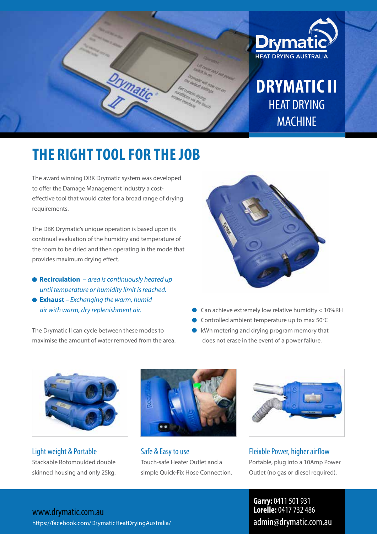

# **THE RIGHT TOOL FOR THE JOB**

The award winning DBK Drymatic system was developed to offer the Damage Management industry a costeffective tool that would cater for a broad range of drying requirements.

The DBK Drymatic's unique operation is based upon its continual evaluation of the humidity and temperature of the room to be dried and then operating in the mode that provides maximum drying effect.

- **Recirculation**  *area is continuously heated up until temperature or humidity limit is reached.* **Exhaust** *– Exchanging the warm, humid*
- *air with warm, dry replenishment air.*

The Drymatic II can cycle between these modes to maximise the amount of water removed from the area.



- Can achieve extremely low relative humidity < 10%RH
- Controlled ambient temperature up to max 50°C
- kWh metering and drying program memory that  $\bullet$ does not erase in the event of a power failure.



Light weight & Portable Stackable Rotomoulded double skinned housing and only 25kg.



Safe & Easy to use Touch-safe Heater Outlet and a simple Quick-Fix Hose Connection.



Fleixble Power, higher airflow Portable, plug into a 10Amp Power Outlet (no gas or diesel required).

www.drymatic.com.au https://facebook.com/DrymaticHeatDryingAustralia/

**Garry:** 0411 501 931 **Lorelle:** 0417 732 486 admin@drymatic.com.au